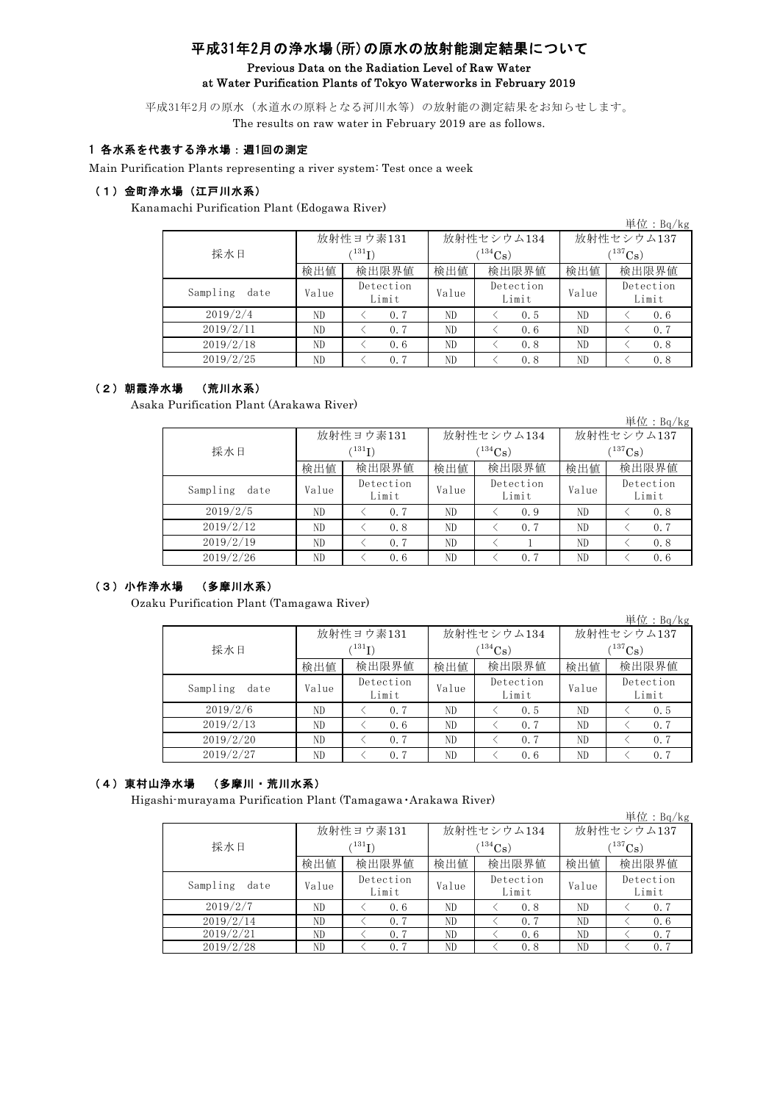# 平成31年2月の浄水場(所)の原水の放射能測定結果について

### Previous Data on the Radiation Level of Raw Water at Water Purification Plants of Tokyo Waterworks in February 2019

平成31年2月の原水(水道水の原料となる河川水等)の放射能の測定結果をお知らせします。 The results on raw water in February 2019 are as follows.

## 1 各水系を代表する浄水場:週1回の測定

Main Purification Plants representing a river system: Test once a week

## (1)金町浄水場(江戸川水系)

Kanamachi Purification Plant (Edogawa River)

|                  |       |                    |       |                    |              | 単位: $Bq/kg$        |  |
|------------------|-------|--------------------|-------|--------------------|--------------|--------------------|--|
|                  |       | 放射性ヨウ素131          |       | 放射性セシウム134         | 放射性セシウム137   |                    |  |
| 採水日              |       | $^{131}$ I)        |       | $(^{134}Cs)$       | $(^{137}Cs)$ |                    |  |
|                  | 検出値   | 検出限界値              | 検出値   | 検出限界値              | 検出値          | 検出限界値              |  |
| Sampling<br>date | Value | Detection<br>Limit | Value | Detection<br>Limit | Value        | Detection<br>Limit |  |
| 2019/2/4         | ND.   | 0.7                | ND    | 0.5                | ND.          | 0.6                |  |
| 2019/2/11        | ND    | 0.7                | ND    | 0.6                | ND.          | 0.7                |  |
| 2019/2/18        | ND.   | 0.6                | ND    | 0.8                | ND.          | 0.8                |  |
| 2019/2/25        | ND    | 0.7                | ND    | 0.8                | ND.          | 0.8                |  |

## (2)朝霞浄水場 (荒川水系)

Asaka Purification Plant (Arakawa River)

|                  |             |                    |       |                    |              | 単位: $Bq/kg$        |  |
|------------------|-------------|--------------------|-------|--------------------|--------------|--------------------|--|
|                  |             | 放射性ヨウ素131          |       | 放射性セシウム134         | 放射性セシウム137   |                    |  |
| 採水日              | $^{131}$ I) |                    |       | $(^{134}Cs)$       | $(^{137}Cs)$ |                    |  |
|                  | 検出値         | 検出限界値              | 検出値   | 検出限界値              | 検出値          | 検出限界値              |  |
| Sampling<br>date | Value       | Detection<br>Limit | Value | Detection<br>Limit | Value        | Detection<br>Limit |  |
| 2019/2/5         | ND          | 0.7                | ND    | 0.9                | ND.          | 0.8                |  |
| 2019/2/12        | ND          | 0.8                | ND    | 0.7                | ND.          | 0.7                |  |
| 2019/2/19        | ND.         | 0.7                | ND    |                    | ND.          | 0.8                |  |
| 2019/2/26        | ND.         | 0.6                | ND.   | 0.7                | ND.          | 0.6                |  |

## (3)小作浄水場 (多摩川水系)

Ozaku Purification Plant (Tamagawa River)

|                  |       |                    |       |                    |              | 単位:Bq/kg           |  |
|------------------|-------|--------------------|-------|--------------------|--------------|--------------------|--|
|                  |       | 放射性ヨウ素131          |       | 放射性セシウム134         | 放射性セシウム137   |                    |  |
| 採水日              |       | $^{131}$ I)        |       | $(134)$ Cs         | $(^{137}Cs)$ |                    |  |
|                  | 検出値   | 検出限界値              | 検出値   | 検出限界値              | 検出値          | 検出限界値              |  |
| Sampling<br>date | Value | Detection<br>Limit | Value | Detection<br>Limit | Value        | Detection<br>Limit |  |
| 2019/2/6         | ND    | 0.7                | ND    | 0.5                | ND           | 0.5                |  |
| 2019/2/13        | ND    | 0.6                | ND    | 0.7                | ND           | 0, 7               |  |
| 2019/2/20        | ND    | 0.7                | ND    | 0.7                | ND           | 0, 7               |  |
| 2019/2/27        | ND    | 0.7                | ND    | 0.6                | ND           | 0.7                |  |

## (4)東村山浄水場 (多摩川・荒川水系)

Higashi-murayama Purification Plant (Tamagawa・Arakawa River)

|                  |                  |                    |       |                    |              | 単位:Bq/kg           |  |
|------------------|------------------|--------------------|-------|--------------------|--------------|--------------------|--|
|                  |                  | 放射性ヨウ素131          |       | 放射性セシウム134         | 放射性セシウム137   |                    |  |
| 採水日              | $\binom{131}{1}$ |                    |       | $(134)$ Cs         | $(^{137}Cs)$ |                    |  |
|                  | 検出値              | 検出限界値              | 検出値   | 検出限界値              | 検出値          | 検出限界値              |  |
| Sampling<br>date | Value            | Detection<br>Limit | Value | Detection<br>Limit | Value        | Detection<br>Limit |  |
| 2019/2/7         | ND               | 0.6                | ND    | 0.8                | ND.          | 0, 7               |  |
| 2019/2/14        | ND               | 0.7                | ND    | 0.7                | ND.          | 0.6                |  |
| 2019/2/21        | ND               | 0.7                | ND    | 0.6                | ND.          | 0.7                |  |
| 2019/2/28        | ND               | 0.7                | ND    | 0.8                | ND           | 0.7                |  |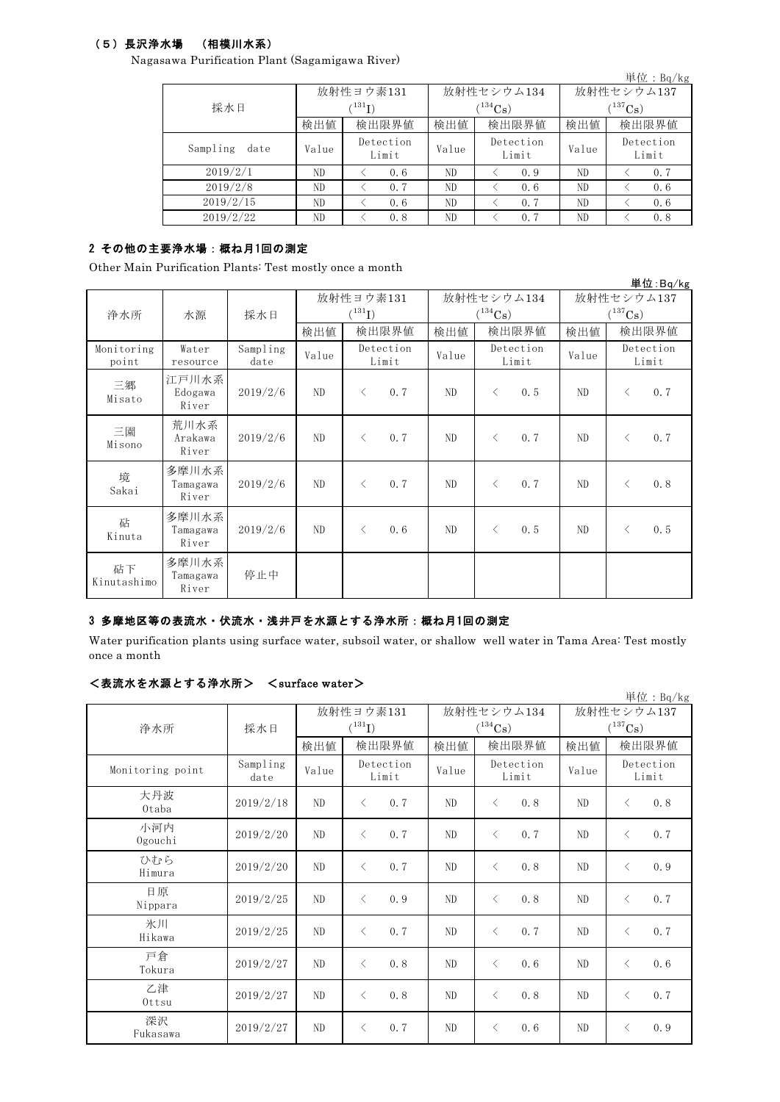## (5)長沢浄水場 (相模川水系)

Nagasawa Purification Plant (Sagamigawa River)

|                  |       |                    |       |                    |              | 単位: $Bq/kg$        |  |
|------------------|-------|--------------------|-------|--------------------|--------------|--------------------|--|
|                  |       | 放射性ヨウ素131          |       | 放射性セシウム134         | 放射性セシウム137   |                    |  |
| 採水日              |       | $^{131}$ I)        |       | $(134)$ Cs         | $(^{137}Cs)$ |                    |  |
|                  | 検出値   | 検出限界値              | 検出値   | 検出限界値              | 検出値          | 検出限界値              |  |
| Sampling<br>date | Value | Detection<br>Limit | Value | Detection<br>Limit | Value        | Detection<br>Limit |  |
| 2019/2/1         | ND.   | 0.6                | ND.   | 0.9                | ND.          | 0.7                |  |
| 2019/2/8         | ND    | 0.7                | ND    | 0.6                | ND           | 0.6                |  |
| 2019/2/15        | ND    | 0.6                | ND    | 0.7                | ND.          | 0.6                |  |
| 2019/2/22        | ND    | 0.8                | ND    | 0.7                | ND           | 0.8                |  |

## 2 その他の主要浄水場:概ね月1回の測定

Other Main Purification Plants: Test mostly once a month

|                     |                            |                  |                |                                   |       |                            |                            | 単位:Bq/kg           |
|---------------------|----------------------------|------------------|----------------|-----------------------------------|-------|----------------------------|----------------------------|--------------------|
| 浄水所                 | 水源                         | 採水日              |                | 放射性ヨウ素131<br>$({}^{131}\text{I})$ |       | 放射性セシウム134<br>$(^{134}Cs)$ | 放射性セシウム137<br>$(^{137}Cs)$ |                    |
|                     |                            |                  | 検出値            | 検出限界値                             | 検出値   | 検出限界値                      | 検出値                        | 検出限界値              |
| Monitoring<br>point | Water<br>resource          | Sampling<br>date | Value          | Detection<br>Limit                | Value | Detection<br>Limit         | Value                      | Detection<br>Limit |
| 三郷<br>Misato        | 江戸川水系<br>Edogawa<br>River  | 2019/2/6         | ND             | 0.7<br>$\langle$                  | ND    | 0.5<br>$\lt$               | ND.                        | 0.7<br>$\langle$   |
| 三園<br>Misono        | 荒川水系<br>Arakawa<br>River   | 2019/2/6         | ND             | 0.7<br>$\lt$                      | ND    | 0.7<br>$\langle$           | ND.                        | 0.7<br>$\lt$       |
| 境<br>Sakai          | 多摩川水系<br>Tamagawa<br>River | 2019/2/6         | N <sub>D</sub> | 0.7<br>$\langle$                  | ND    | 0.7<br>$\langle$           | ND.                        | 0.8<br>$\lt$       |
| 砧<br>Kinuta         | 多摩川水系<br>Tamagawa<br>River | 2019/2/6         | ND             | 0.6<br>$\langle$                  | ND    | 0.5<br>$\lt$               | ND.                        | 0.5<br>$\langle$   |
| 砧下<br>Kinutashimo   | 多摩川水系<br>Tamagawa<br>River | 停止中              |                |                                   |       |                            |                            |                    |

## 3 多摩地区等の表流水・伏流水・浅井戸を水源とする浄水所:概ね月1回の測定

Water purification plants using surface water, subsoil water, or shallow well water in Tama Area: Test mostly once a month

### <表流水を水源とする浄水所> <surface water>

| ヽ゚み、クルレィフヽ ヒ_ ィコヽ#ゕ ヒ ヮ ゙ ヅ /ㅜ ィコヽ!ノl / |                  |       |                          |       |                            |                                     | 単位: Bq/kg          |
|-----------------------------------------|------------------|-------|--------------------------|-------|----------------------------|-------------------------------------|--------------------|
| 浄水所                                     | 採水日              |       | 放射性ヨウ素131<br>$(^{131}I)$ |       | 放射性セシウム134<br>$(^{134}Cs)$ | 放射性セシウム137<br>$(^{137}\mathrm{Cs})$ |                    |
|                                         |                  | 検出値   | 検出限界値                    | 検出値   | 検出限界値                      | 検出値                                 | 検出限界値              |
| Monitoring point                        | Sampling<br>date | Value | Detection<br>Limit       | Value | Detection<br>Limit         | Value                               | Detection<br>Limit |
| 大丹波<br>Otaba                            | 2019/2/18        | ND    | 0.7<br>$\lt$             | ND    | 0.8<br>$\langle$           | ND                                  | 0.8<br>$\lt$       |
| 小河内<br>Ogouchi                          | 2019/2/20        | ND    | 0.7<br>$\langle$         | ND    | 0.7<br>$\lt$               | ND                                  | 0.7<br>$\lt$       |
| ひむら<br>Himura                           | 2019/2/20        | ND    | 0.7<br>$\langle$         | ND    | 0.8<br>$\langle$           | ND                                  | 0.9<br>$\langle$   |
| 日原<br>Nippara                           | 2019/2/25        | ND    | 0.9<br>$\langle$         | ND    | 0.8<br>$\langle$           | ND                                  | 0.7<br>$\langle$   |
| 氷川<br>Hikawa                            | 2019/2/25        | ND    | 0.7<br>$\langle$         | ND    | 0.7<br>$\langle$           | ND                                  | 0.7<br>$\langle$   |
| 戸倉<br>Tokura                            | 2019/2/27        | ND    | 0.8<br>$\lt$             | ND    | 0.6<br>$\langle$           | ND                                  | 0.6<br>$\lt$       |
| 乙津<br>Ottsu                             | 2019/2/27        | ND    | 0.8<br>$\langle$         | ND    | 0.8<br>$\langle$           | ND                                  | 0.7<br>$\langle$   |
| 深沢<br>Fukasawa                          | 2019/2/27        | ND    | 0.7<br>ぐ                 | ND    | 0.6<br>$\langle$           | ND                                  | 0.9<br>$\langle$   |